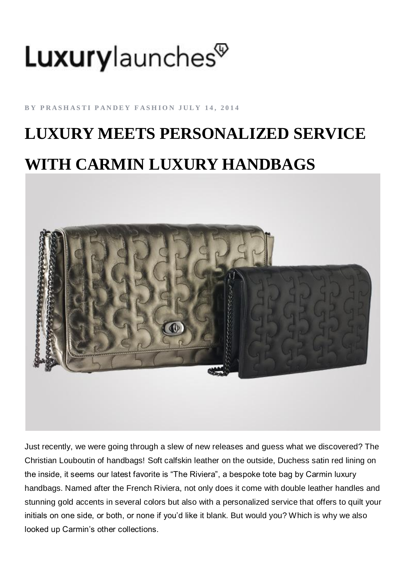## Luxurylaunches<sup>®</sup>

**BY PRASHASTI PANDEY FASHION JULY 14, 2014** 

## **LUXURY MEETS PERSONALIZED SERVICE WITH CARMIN LUXURY HANDBAGS**



Just recently, we were going through a slew of new releases and guess what we discovered? The Christian Louboutin of handbags! [Soft](http://luxurylaunches.com/fashion/luxury-meets-personalized-service-with-carmin-luxury-handbags.php) calfskin leather on the outside, Duchess satin red lining on the inside, it seems our latest favorite is "The Riviera", a bespoke tote bag by Carmin luxury handbags. Named after the French Riviera, not only does it come with double leather handles and stunning gold accents in several colors but also with a personalized service that [offers](http://luxurylaunches.com/fashion/luxury-meets-personalized-service-with-carmin-luxury-handbags.php) to quilt your initials on one side, or both, or none if you'd like it blank. But would you? Which is why we also looked up Carmin's other collections.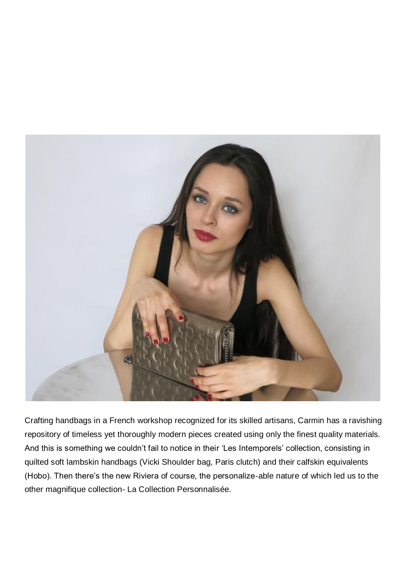

Crafting handbags in a French workshop recognized for its skilled artisans, Carmin has a ravishing repository of timeless yet thoroughly modern pieces created using only the finest quality materials. And this is something we couldn't fail to notice in their 'Les Intemporels' collection, consisting in quilted soft lambskin handbags (Vicki Shoulder bag, Paris clutch) and their calfskin equivalents (Hobo). Then there's the new Riviera of course, the personalize-able nature of which led us to the other magnifique collection- La Collection Personnalisée.